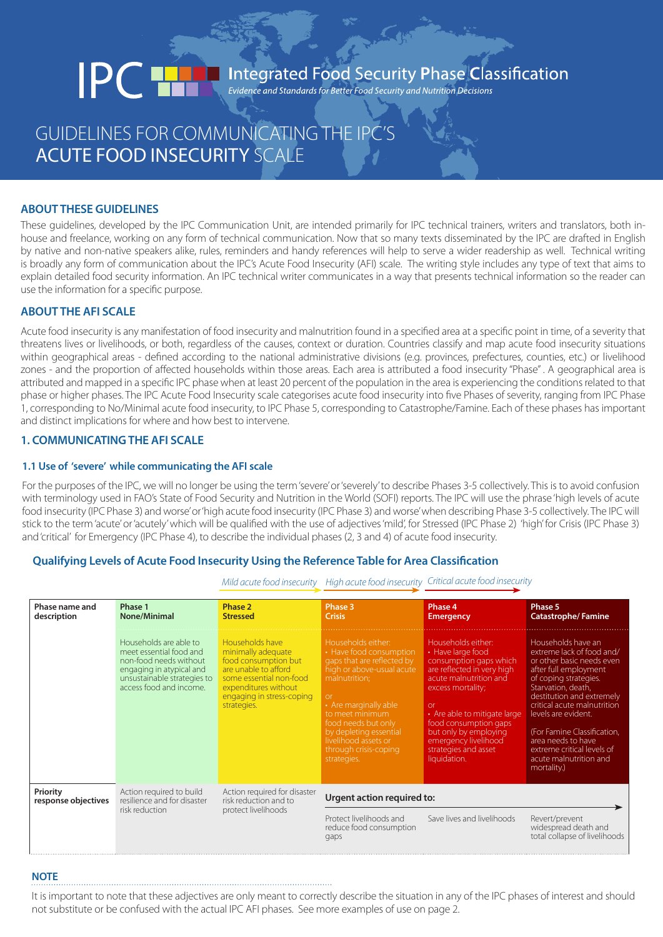# Integrated Food Security Phase Classification **IPCT**

# GUIDELINES FOR COMMUNICATING THE IPC'S ACUTE FOOD INSECURITY SCALE

# **ABOUT THESE GUIDELINES**

These guidelines, developed by the IPC Communication Unit, are intended primarily for IPC technical trainers, writers and translators, both inhouse and freelance, working on any form of technical communication. Now that so many texts disseminated by the IPC are drafted in English by native and non-native speakers alike, rules, reminders and handy references will help to serve a wider readership as well. Technical writing is broadly any form of communication about the IPC's Acute Food Insecurity (AFI) scale. The writing style includes any type of text that aims to explain detailed food security information. An IPC technical writer communicates in a way that presents technical information so the reader can use the information for a specific purpose.

# **ABOUT THE AFI SCALE**

Acute food insecurity is any manifestation of food insecurity and malnutrition found in a specified area at a specific point in time, of a severity that threatens lives or livelihoods, or both, regardless of the causes, context or duration. Countries classify and map acute food insecurity situations within geographical areas - defined according to the national administrative divisions (e.g. provinces, prefectures, counties, etc.) or livelihood zones - and the proportion of affected households within those areas. Each area is attributed a food insecurity "Phase" . A geographical area is attributed and mapped in a specific IPC phase when at least 20 percent of the population in the area is experiencing the conditions related to that phase or higher phases. The IPC Acute Food Insecurity scale categorises acute food insecurity into five Phases of severity, ranging from IPC Phase 1, corresponding to No/Minimal acute food insecurity, to IPC Phase 5, corresponding to Catastrophe/Famine. Each of these phases has important and distinct implications for where and how best to intervene.

# **1. COMMUNICATING THE AFI SCALE**

## **1.1 Use of 'severe' while communicating the AFI scale**

For the purposes of the IPC, we will no longer be using the term 'severe' or 'severely' to describe Phases 3-5 collectively. This is to avoid confusion with terminology used in FAO's State of Food Security and Nutrition in the World (SOFI) reports. The IPC will use the phrase 'high levels of acute food insecurity (IPC Phase 3) and worse' or 'high acute food insecurity (IPC Phase 3) and worse' when describing Phase 3-5 collectively. The IPC will stick to the term 'acute' or 'acutely' which will be qualified with the use of adjectives 'mild', for Stressed (IPC Phase 2) 'high' for Crisis (IPC Phase 3) and 'critical' for Emergency (IPC Phase 4), to describe the individual phases (2, 3 and 4) of acute food insecurity.

# **Qualifying Levels of Acute Food Insecurity Using the Reference Table for Area Classification**

| Phase name and<br>description   | Phase 1<br><b>None/Minimal</b>                                                                                                                                    | Phase 2<br><b>Stressed</b>                                                                                                                                                           | Phase 3<br><b>Crisis</b>                                                                                                                                                                                                                                                                           | Phase 4<br><b>Emergency</b>                                                                                                                                                                                                                                                                                  | Phase 5<br><b>Catastrophe/Famine</b>                                                                                                                                                                                                                                                                                                                                |
|---------------------------------|-------------------------------------------------------------------------------------------------------------------------------------------------------------------|--------------------------------------------------------------------------------------------------------------------------------------------------------------------------------------|----------------------------------------------------------------------------------------------------------------------------------------------------------------------------------------------------------------------------------------------------------------------------------------------------|--------------------------------------------------------------------------------------------------------------------------------------------------------------------------------------------------------------------------------------------------------------------------------------------------------------|---------------------------------------------------------------------------------------------------------------------------------------------------------------------------------------------------------------------------------------------------------------------------------------------------------------------------------------------------------------------|
|                                 | Households are able to<br>meet essential food and<br>non-food needs without<br>engaging in atypical and<br>unsustainable strategies to<br>access food and income. | Households have<br>minimally adequate<br>food consumption but<br>are unable to afford<br>some essential non-food<br>expenditures without<br>engaging in stress-coping<br>strategies. | Households either:<br>• Have food consumption<br>gaps that are reflected by<br>high or above-usual acute<br>malnutrition;<br>$\alpha$<br>• Are marginally able<br>to meet minimum<br>food needs but only<br>by depleting essential<br>livelihood assets or<br>through crisis-coping<br>strategies. | Households either:<br>• Have large food<br>consumption gaps which<br>are reflected in very high<br>acute malnutrition and<br>excess mortality;<br>$\alpha$<br>• Are able to mitigate large<br>food consumption gaps<br>but only by employing<br>emergency livelihood<br>strategies and asset<br>liquidation. | Households have an<br>extreme lack of food and/<br>or other basic needs even<br>after full employment<br>of coping strategies.<br>Starvation, death,<br>destitution and extremely<br>critical acute malnutrition<br>levels are evident.<br>(For Famine Classification,<br>area needs to have<br>extreme critical levels of<br>acute malnutrition and<br>mortality.) |
| Priority<br>response objectives | Action required to build<br>resilience and for disaster                                                                                                           | Action required for disaster<br>Urgent action required to:<br>risk reduction and to                                                                                                  |                                                                                                                                                                                                                                                                                                    |                                                                                                                                                                                                                                                                                                              |                                                                                                                                                                                                                                                                                                                                                                     |
|                                 | risk reduction                                                                                                                                                    | protect livelihoods                                                                                                                                                                  | Protect livelihoods and<br>reduce food consumption<br>gaps                                                                                                                                                                                                                                         | Save lives and livelihoods                                                                                                                                                                                                                                                                                   | Revert/prevent<br>widespread death and<br>total collapse of livelihoods                                                                                                                                                                                                                                                                                             |

*Mild acute food insecurity High acute food insecurity Critical acute food insecurity*

# **NOTE**

It is important to note that these adjectives are only meant to correctly describe the situation in any of the IPC phases of interest and should not substitute or be confused with the actual IPC AFI phases. See more examples of use on page 2.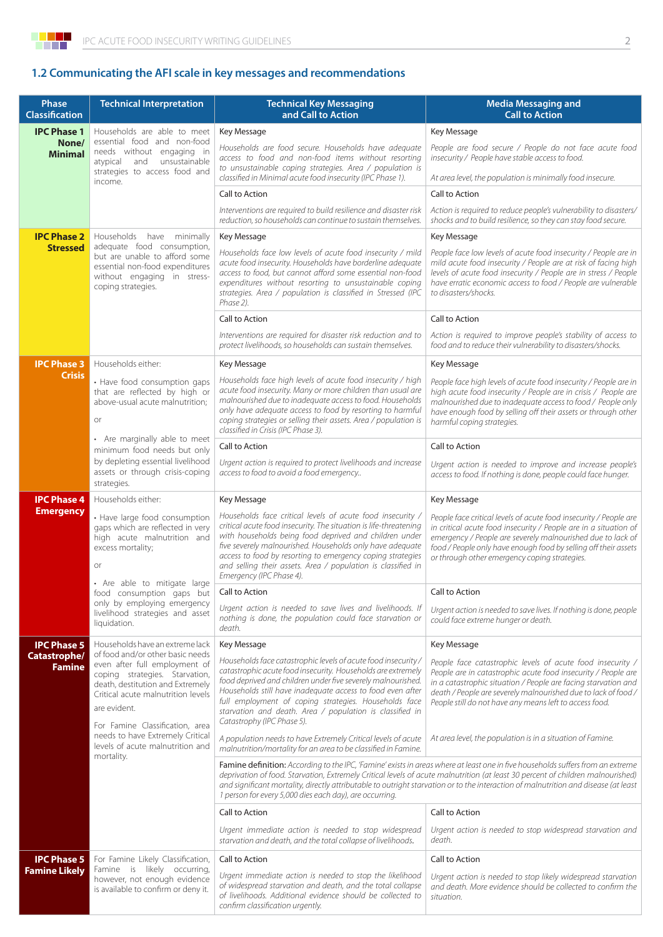

# **1.2 Communicating the AFI scale in key messages and recommendations**

| Phase<br><b>Classification</b>                | <b>Technical Interpretation</b>                                                                                                                                                                                                                                                    | <b>Technical Key Messaging</b><br>and Call to Action                                                                                                                                                                                                                                                                                                                                                                                                                 | <b>Media Messaging and</b><br><b>Call to Action</b>                                                                                                                                                                                                                                                                        |  |
|-----------------------------------------------|------------------------------------------------------------------------------------------------------------------------------------------------------------------------------------------------------------------------------------------------------------------------------------|----------------------------------------------------------------------------------------------------------------------------------------------------------------------------------------------------------------------------------------------------------------------------------------------------------------------------------------------------------------------------------------------------------------------------------------------------------------------|----------------------------------------------------------------------------------------------------------------------------------------------------------------------------------------------------------------------------------------------------------------------------------------------------------------------------|--|
|                                               |                                                                                                                                                                                                                                                                                    |                                                                                                                                                                                                                                                                                                                                                                                                                                                                      | Key Message                                                                                                                                                                                                                                                                                                                |  |
| <b>IPC Phase 1</b><br>None/<br><b>Minimal</b> | Households are able to meet<br>essential food and non-food<br>needs without engaging in<br>atypical<br>and<br>unsustainable<br>strategies to access food and                                                                                                                       | Key Message<br>Households are food secure. Households have adequate<br>access to food and non-food items without resorting<br>to unsustainable coping strategies. Area / population is<br>classified in Minimal acute food insecurity (IPC Phase 1).                                                                                                                                                                                                                 | People are food secure / People do not face acute food<br>insecurity / People have stable access to food.<br>At area level, the population is minimally food insecure.                                                                                                                                                     |  |
| income.                                       |                                                                                                                                                                                                                                                                                    | Call to Action                                                                                                                                                                                                                                                                                                                                                                                                                                                       | Call to Action                                                                                                                                                                                                                                                                                                             |  |
|                                               |                                                                                                                                                                                                                                                                                    | Interventions are required to build resilience and disaster risk<br>reduction, so households can continue to sustain themselves.                                                                                                                                                                                                                                                                                                                                     | Action is required to reduce people's vulnerability to disasters/<br>shocks and to build resilience, so they can stay food secure.                                                                                                                                                                                         |  |
| <b>IPC Phase 2</b>                            | Households have minimally                                                                                                                                                                                                                                                          | Key Message                                                                                                                                                                                                                                                                                                                                                                                                                                                          | Key Message                                                                                                                                                                                                                                                                                                                |  |
| <b>Stressed</b>                               | adequate food consumption,<br>but are unable to afford some<br>essential non-food expenditures<br>without engaging in stress-<br>coping strategies.                                                                                                                                | Households face low levels of acute food insecurity / mild<br>acute food insecurity. Households have borderline adequate<br>access to food, but cannot afford some essential non-food<br>expenditures without resorting to unsustainable coping<br>strategies. Area / population is classified in Stressed (IPC<br>Phase 2).                                                                                                                                         | People face low levels of acute food insecurity / People are in<br>mild acute food insecurity / People are at risk of facing high<br>levels of acute food insecurity / People are in stress / People<br>have erratic economic access to food / People are vulnerable<br>to disasters/shocks.                               |  |
|                                               |                                                                                                                                                                                                                                                                                    | Call to Action<br>Call to Action                                                                                                                                                                                                                                                                                                                                                                                                                                     |                                                                                                                                                                                                                                                                                                                            |  |
|                                               |                                                                                                                                                                                                                                                                                    | Interventions are required for disaster risk reduction and to<br>protect livelihoods, so households can sustain themselves.                                                                                                                                                                                                                                                                                                                                          | Action is required to improve people's stability of access to<br>food and to reduce their vulnerability to disasters/shocks.                                                                                                                                                                                               |  |
| <b>IPC Phase 3</b>                            | Households either:                                                                                                                                                                                                                                                                 | Key Message                                                                                                                                                                                                                                                                                                                                                                                                                                                          | Key Message                                                                                                                                                                                                                                                                                                                |  |
| <b>Crisis</b>                                 | • Have food consumption gaps<br>that are reflected by high or<br>above-usual acute malnutrition;<br>or                                                                                                                                                                             | Households face high levels of acute food insecurity / high<br>acute food insecurity. Many or more children than usual are<br>malnourished due to inadequate access to food. Households<br>only have adequate access to food by resorting to harmful<br>coping strategies or selling their assets. Area / population is<br>classified in Crisis (IPC Phase 3).                                                                                                       | People face high levels of acute food insecurity / People are in<br>high acute food insecurity / People are in crisis / People are<br>malnourished due to inadequate access to food / People only<br>have enough food by selling off their assets or through other<br>harmful coping strategies.                           |  |
|                                               | • Are marginally able to meet<br>minimum food needs but only<br>by depleting essential livelihood<br>assets or through crisis-coping<br>strategies.                                                                                                                                | Call to Action                                                                                                                                                                                                                                                                                                                                                                                                                                                       | Call to Action                                                                                                                                                                                                                                                                                                             |  |
|                                               |                                                                                                                                                                                                                                                                                    | Urgent action is required to protect livelihoods and increase<br>access to food to avoid a food emergency                                                                                                                                                                                                                                                                                                                                                            | Urgent action is needed to improve and increase people's<br>access to food. If nothing is done, people could face hunger.                                                                                                                                                                                                  |  |
| <b>IPC Phase 4</b>                            | Households either:                                                                                                                                                                                                                                                                 | Key Message                                                                                                                                                                                                                                                                                                                                                                                                                                                          | Key Message                                                                                                                                                                                                                                                                                                                |  |
| <b>Emergency</b>                              | • Have large food consumption<br>gaps which are reflected in very<br>high acute malnutrition and<br>excess mortality;<br>or                                                                                                                                                        | Households face critical levels of acute food insecurity /<br>critical acute food insecurity. The situation is life-threatening<br>with households being food deprived and children under<br>five severely malnourished. Households only have adequate<br>access to food by resorting to emergency coping strategies<br>and selling their assets. Area / population is classified in<br>Emergency (IPC Phase 4).                                                     | People face critical levels of acute food insecurity / People are<br>in critical acute food insecurity / People are in a situation of<br>emergency / People are severely malnourished due to lack of<br>food / People only have enough food by selling off their assets<br>or through other emergency coping strategies.   |  |
|                                               | • Are able to mitigate large<br>food consumption gaps but<br>only by employing emergency<br>livelihood strategies and asset<br>liquidation.                                                                                                                                        | Call to Action                                                                                                                                                                                                                                                                                                                                                                                                                                                       | Call to Action                                                                                                                                                                                                                                                                                                             |  |
|                                               |                                                                                                                                                                                                                                                                                    | Urgent action is needed to save lives and livelihoods. If<br>nothing is done, the population could face starvation or<br>death.                                                                                                                                                                                                                                                                                                                                      | Urgent action is needed to save lives. If nothing is done, people<br>could face extreme hunger or death.                                                                                                                                                                                                                   |  |
| <b>IPC Phase 5</b>                            | Households have an extreme lack<br>of food and/or other basic needs                                                                                                                                                                                                                | Key Message                                                                                                                                                                                                                                                                                                                                                                                                                                                          | Key Message                                                                                                                                                                                                                                                                                                                |  |
| Catastrophe/<br><b>Famine</b>                 | even after full employment of<br>coping strategies. Starvation,<br>death, destitution and Extremely<br>Critical acute malnutrition levels<br>are evident.<br>For Famine Classification, area<br>needs to have Extremely Critical<br>levels of acute malnutrition and<br>mortality. | Households face catastrophic levels of acute food insecurity /<br>catastrophic acute food insecurity. Households are extremely<br>food deprived and children under five severely malnourished.<br>Households still have inadequate access to food even after<br>full employment of coping strategies. Households face<br>starvation and death. Area / population is classified in<br>Catastrophy (IPC Phase 5).                                                      | People face catastrophic levels of acute food insecurity /<br>People are in catastrophic acute food insecurity / People are<br>in a catastrophic situation / People are facing starvation and<br>death / People are severely malnourished due to lack of food /<br>People still do not have any means left to access food. |  |
|                                               |                                                                                                                                                                                                                                                                                    | A population needs to have Extremely Critical levels of acute<br>malnutrition/mortality for an area to be classified in Famine.                                                                                                                                                                                                                                                                                                                                      | At area level, the population is in a situation of Famine.                                                                                                                                                                                                                                                                 |  |
|                                               |                                                                                                                                                                                                                                                                                    | Famine definition: According to the IPC, 'Famine' exists in areas where at least one in five households suffers from an extreme<br>deprivation of food. Starvation, Extremely Critical levels of acute malnutrition (at least 30 percent of children malnourished)<br>and significant mortality, directly attributable to outright starvation or to the interaction of malnutrition and disease (at least<br>1 person for every 5,000 dies each day), are occurring. |                                                                                                                                                                                                                                                                                                                            |  |
|                                               |                                                                                                                                                                                                                                                                                    | Call to Action                                                                                                                                                                                                                                                                                                                                                                                                                                                       | Call to Action                                                                                                                                                                                                                                                                                                             |  |
|                                               |                                                                                                                                                                                                                                                                                    | Urgent immediate action is needed to stop widespread<br>starvation and death, and the total collapse of livelihoods.                                                                                                                                                                                                                                                                                                                                                 | Urgent action is needed to stop widespread starvation and<br>death.                                                                                                                                                                                                                                                        |  |
| <b>IPC Phase 5</b>                            | For Famine Likely Classification,                                                                                                                                                                                                                                                  | Call to Action                                                                                                                                                                                                                                                                                                                                                                                                                                                       | Call to Action                                                                                                                                                                                                                                                                                                             |  |
| <b>Famine Likely</b>                          | Famine is likely occurring,<br>however, not enough evidence<br>is available to confirm or deny it.                                                                                                                                                                                 | Urgent immediate action is needed to stop the likelihood<br>of widespread starvation and death, and the total collapse<br>of livelihoods. Additional evidence should be collected to<br>confirm classification urgently.                                                                                                                                                                                                                                             | Urgent action is needed to stop likely widespread starvation<br>and death. More evidence should be collected to confirm the<br>situation.                                                                                                                                                                                  |  |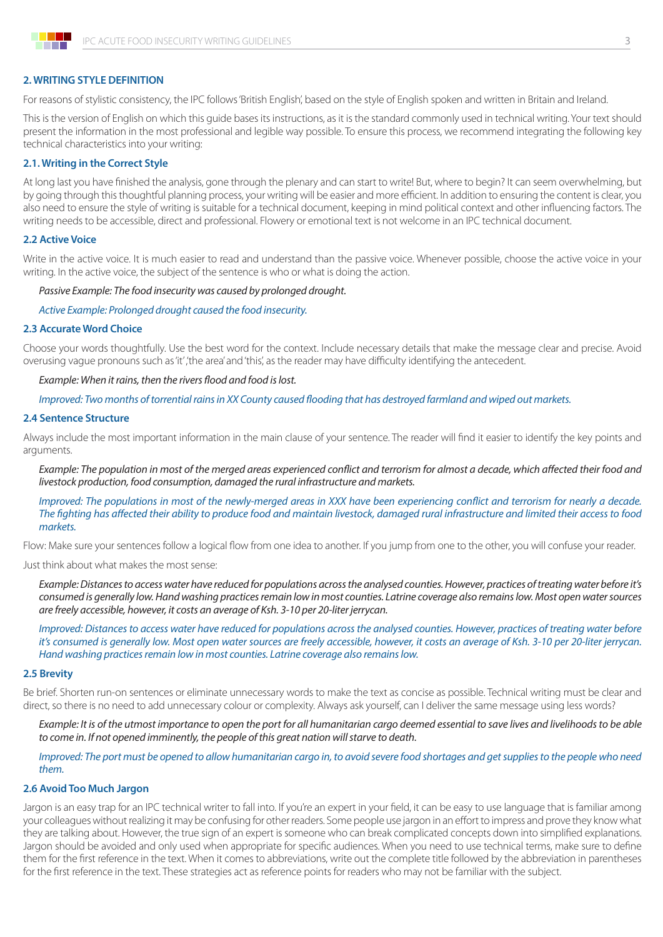

#### **2. WRITING STYLE DEFINITION**

For reasons of stylistic consistency, the IPC follows 'British English', based on the style of English spoken and written in Britain and Ireland.

This is the version of English on which this guide bases its instructions, as it is the standard commonly used in technical writing. Your text should present the information in the most professional and legible way possible. To ensure this process, we recommend integrating the following key technical characteristics into your writing:

#### **2.1. Writing in the Correct Style**

At long last you have finished the analysis, gone through the plenary and can start to write! But, where to begin? It can seem overwhelming, but by going through this thoughtful planning process, your writing will be easier and more efficient. In addition to ensuring the content is clear, you also need to ensure the style of writing is suitable for a technical document, keeping in mind political context and other influencing factors. The writing needs to be accessible, direct and professional. Flowery or emotional text is not welcome in an IPC technical document.

#### **2.2 Active Voice**

Write in the active voice. It is much easier to read and understand than the passive voice. Whenever possible, choose the active voice in your writing. In the active voice, the subject of the sentence is who or what is doing the action.

#### *Passive Example: The food insecurity was caused by prolonged drought.*

*Active Example: Prolonged drought caused the food insecurity.*

#### **2.3 Accurate Word Choice**

Choose your words thoughtfully. Use the best word for the context. Include necessary details that make the message clear and precise. Avoid overusing vague pronouns such as 'it' ,'the area' and 'this', as the reader may have difficulty identifying the antecedent.

#### *Example: When it rains, then the rivers flood and food is lost.*

*Improved: Two months of torrential rains in XX County caused flooding that has destroyed farmland and wiped out markets.*

#### **2.4 Sentence Structure**

Always include the most important information in the main clause of your sentence. The reader will find it easier to identify the key points and arguments.

*Example: The population in most of the merged areas experienced conflict and terrorism for almost a decade, which affected their food and livestock production, food consumption, damaged the rural infrastructure and markets.*

*Improved: The populations in most of the newly-merged areas in XXX have been experiencing conflict and terrorism for nearly a decade. The fighting has affected their ability to produce food and maintain livestock, damaged rural infrastructure and limited their access to food markets.*

Flow: Make sure your sentences follow a logical flow from one idea to another. If you jump from one to the other, you will confuse your reader.

Just think about what makes the most sense:

*Example: Distances to access water have reduced for populations across the analysed counties. However, practices of treating water before it's consumed is generally low. Hand washing practices remain low in most counties. Latrine coverage also remains low. Most open water sources are freely accessible, however, it costs an average of Ksh. 3-10 per 20-liter jerrycan.*

*Improved: Distances to access water have reduced for populations across the analysed counties. However, practices of treating water before it's consumed is generally low. Most open water sources are freely accessible, however, it costs an average of Ksh. 3-10 per 20-liter jerrycan. Hand washing practices remain low in most counties. Latrine coverage also remains low.*

#### **2.5 Brevity**

Be brief. Shorten run-on sentences or eliminate unnecessary words to make the text as concise as possible. Technical writing must be clear and direct, so there is no need to add unnecessary colour or complexity. Always ask yourself, can I deliver the same message using less words?

*Example: It is of the utmost importance to open the port for all humanitarian cargo deemed essential to save lives and livelihoods to be able to come in. If not opened imminently, the people of this great nation will starve to death.*

*Improved: The port must be opened to allow humanitarian cargo in, to avoid severe food shortages and get supplies to the people who need them.*

#### **2.6 Avoid Too Much Jargon**

Jargon is an easy trap for an IPC technical writer to fall into. If you're an expert in your field, it can be easy to use language that is familiar among your colleagues without realizing it may be confusing for other readers. Some people use jargon in an effort to impress and prove they know what they are talking about. However, the true sign of an expert is someone who can break complicated concepts down into simplified explanations. Jargon should be avoided and only used when appropriate for specific audiences. When you need to use technical terms, make sure to define them for the first reference in the text. When it comes to abbreviations, write out the complete title followed by the abbreviation in parentheses for the first reference in the text. These strategies act as reference points for readers who may not be familiar with the subject.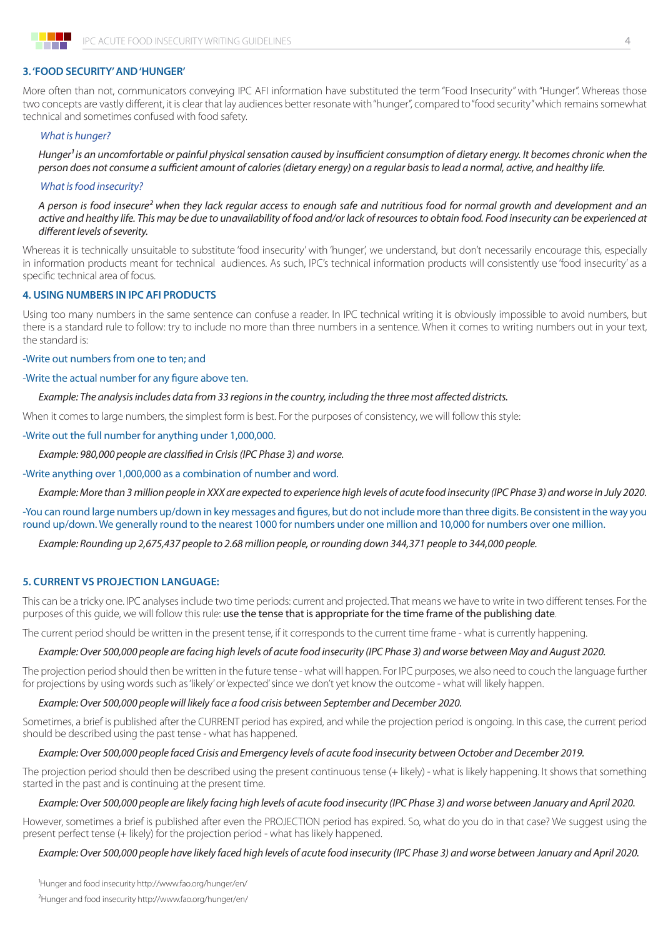

### **3. 'FOOD SECURITY' AND 'HUNGER'**

More often than not, communicators conveying IPC AFI information have substituted the term "Food Insecurity" with "Hunger". Whereas those two concepts are vastly different, it is clear that lay audiences better resonate with "hunger", compared to "food security" which remains somewhat technical and sometimes confused with food safety.

#### *What is hunger?*

*Hunger1 is an uncomfortable or painful physical sensation caused by insufficient consumption of dietary energy. It becomes chronic when the person does not consume a sufficient amount of calories (dietary energy) on a regular basis to lead a normal, active, and healthy life.* 

#### *What is food insecurity?*

*A person is food insecure2 when they lack regular access to enough safe and nutritious food for normal growth and development and an active and healthy life. This may be due to unavailability of food and/or lack of resources to obtain food. Food insecurity can be experienced at different levels of severity.*

Whereas it is technically unsuitable to substitute 'food insecurity' with 'hunger', we understand, but don't necessarily encourage this, especially in information products meant for technical audiences. As such, IPC's technical information products will consistently use 'food insecurity' as a specific technical area of focus.

#### **4. USING NUMBERS IN IPC AFI PRODUCTS**

Using too many numbers in the same sentence can confuse a reader. In IPC technical writing it is obviously impossible to avoid numbers, but there is a standard rule to follow: try to include no more than three numbers in a sentence. When it comes to writing numbers out in your text, the standard is:

#### -Write out numbers from one to ten; and

#### -Write the actual number for any figure above ten.

#### *Example: The analysis includes data from 33 regions in the country, including the three most affected districts.*

When it comes to large numbers, the simplest form is best. For the purposes of consistency, we will follow this style:

#### -Write out the full number for anything under 1,000,000.

*Example: 980,000 people are classified in Crisis (IPC Phase 3) and worse.*

#### -Write anything over 1,000,000 as a combination of number and word.

*Example: More than 3 million people in XXX are expected to experience high levels of acute food insecurity (IPC Phase 3) and worse in July 2020.*

-You can round large numbers up/down in key messages and figures, but do not include more than three digits. Be consistent in the way you round up/down. We generally round to the nearest 1000 for numbers under one million and 10,000 for numbers over one million.

*Example: Rounding up 2,675,437 people to 2.68 million people, or rounding down 344,371 people to 344,000 people.*

#### **5. CURRENT VS PROJECTION LANGUAGE:**

This can be a tricky one. IPC analyses include two time periods: current and projected. That means we have to write in two different tenses. For the purposes of this guide, we will follow this rule: use the tense that is appropriate for the time frame of the publishing date.

The current period should be written in the present tense, if it corresponds to the current time frame - what is currently happening.

#### *Example: Over 500,000 people are facing high levels of acute food insecurity (IPC Phase 3) and worse between May and August 2020.*

The projection period should then be written in the future tense - what will happen. For IPC purposes, we also need to couch the language further for projections by using words such as 'likely' or 'expected' since we don't yet know the outcome - what will likely happen.

#### *Example: Over 500,000 people will likely face a food crisis between September and December 2020.*

Sometimes, a brief is published after the CURRENT period has expired, and while the projection period is ongoing. In this case, the current period should be described using the past tense - what has happened.

#### *Example: Over 500,000 people faced Crisis and Emergency levels of acute food insecurity between October and December 2019.*

The projection period should then be described using the present continuous tense (+ likely) - what is likely happening. It shows that something started in the past and is continuing at the present time.

#### *Example: Over 500,000 people are likely facing high levels of acute food insecurity (IPC Phase 3) and worse between January and April 2020.*

However, sometimes a brief is published after even the PROJECTION period has expired. So, what do you do in that case? We suggest using the present perfect tense (+ likely) for the projection period - what has likely happened.

#### *Example: Over 500,000 people have likely faced high levels of acute food insecurity (IPC Phase 3) and worse between January and April 2020.*